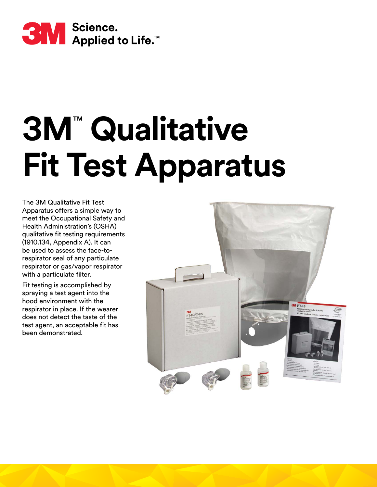

## **3M**™  **Qualitative Fit Test Apparatus**

The 3M Qualitative Fit Test Apparatus offers a simple way to meet the Occupational Safety and Health Administration's (OSHA) qualitative fit testing requirements (1910.134, Appendix A). It can be used to assess the face-torespirator seal of any particulate respirator or gas/vapor respirator with a particulate filter.

Fit testing is accomplished by spraying a test agent into the hood environment with the respirator in place. If the wearer does not detect the taste of the test agent, an acceptable fit has been demonstrated.